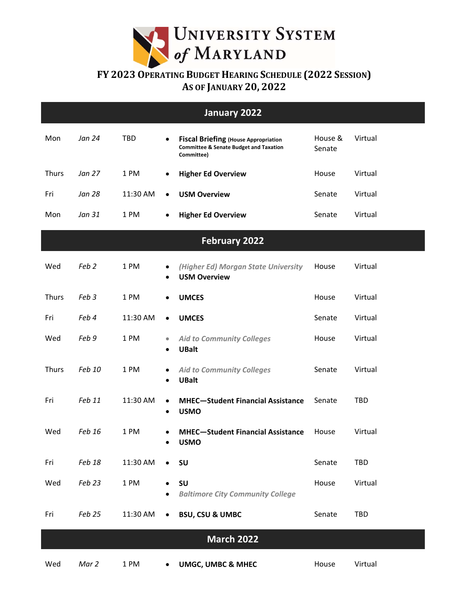

## **FY 2023 OPERATING BUDGET HEARING SCHEDULE (2022 SESSION) AS OF JANUARY 20, 2022**

| January 2022         |                  |            |                        |                                                                                                                |                   |            |  |  |  |  |  |  |  |
|----------------------|------------------|------------|------------------------|----------------------------------------------------------------------------------------------------------------|-------------------|------------|--|--|--|--|--|--|--|
| Mon                  | Jan 24           | <b>TBD</b> | $\bullet$              | <b>Fiscal Briefing (House Appropriation</b><br><b>Committee &amp; Senate Budget and Taxation</b><br>Committee) | House &<br>Senate | Virtual    |  |  |  |  |  |  |  |
| <b>Thurs</b>         | Jan 27           | 1 PM       | $\bullet$              | <b>Higher Ed Overview</b>                                                                                      | House             | Virtual    |  |  |  |  |  |  |  |
| Fri                  | <b>Jan 28</b>    | 11:30 AM   | $\bullet$              | <b>USM Overview</b>                                                                                            | Senate            | Virtual    |  |  |  |  |  |  |  |
| Mon                  | Jan 31           | 1 PM       | $\bullet$              | <b>Higher Ed Overview</b>                                                                                      | Senate            | Virtual    |  |  |  |  |  |  |  |
| <b>February 2022</b> |                  |            |                        |                                                                                                                |                   |            |  |  |  |  |  |  |  |
| Wed                  | Feb <sub>2</sub> | 1 PM       | $\bullet$<br>٠         | (Higher Ed) Morgan State University<br><b>USM Overview</b>                                                     | House             | Virtual    |  |  |  |  |  |  |  |
| <b>Thurs</b>         | Feb 3            | 1 PM       | $\bullet$              | <b>UMCES</b>                                                                                                   | House             | Virtual    |  |  |  |  |  |  |  |
| Fri                  | Feb 4            | 11:30 AM   | $\bullet$              | <b>UMCES</b>                                                                                                   | Senate            | Virtual    |  |  |  |  |  |  |  |
| Wed                  | Feb 9            | 1 PM       | $\bullet$<br>$\bullet$ | <b>Aid to Community Colleges</b><br><b>UBalt</b>                                                               | House             | Virtual    |  |  |  |  |  |  |  |
| <b>Thurs</b>         | Feb 10           | 1 PM       | $\bullet$<br>$\bullet$ | <b>Aid to Community Colleges</b><br><b>UBalt</b>                                                               | Senate            | Virtual    |  |  |  |  |  |  |  |
| Fri                  | Feb 11           | 11:30 AM   | $\bullet$<br>$\bullet$ | <b>MHEC-Student Financial Assistance</b><br><b>USMO</b>                                                        | Senate            | TBD        |  |  |  |  |  |  |  |
| Wed                  | Feb 16           | 1 PM       | $\bullet$<br>٠         | <b>MHEC-Student Financial Assistance</b><br><b>USMO</b>                                                        | House             | Virtual    |  |  |  |  |  |  |  |
| Fri                  | Feb 18           | 11:30 AM   | $\bullet$              | SU                                                                                                             | Senate            | <b>TBD</b> |  |  |  |  |  |  |  |
| Wed                  | Feb 23           | 1 PM       |                        | SU<br><b>Baltimore City Community College</b>                                                                  | House             | Virtual    |  |  |  |  |  |  |  |
| Fri                  | Feb 25           | 11:30 AM   | $\bullet$              | <b>BSU, CSU &amp; UMBC</b>                                                                                     | Senate            | <b>TBD</b> |  |  |  |  |  |  |  |
| <b>March 2022</b>    |                  |            |                        |                                                                                                                |                   |            |  |  |  |  |  |  |  |
| Wed                  | Mar 2            | 1 PM       | $\bullet$              | UMGC, UMBC & MHEC                                                                                              | House             | Virtual    |  |  |  |  |  |  |  |